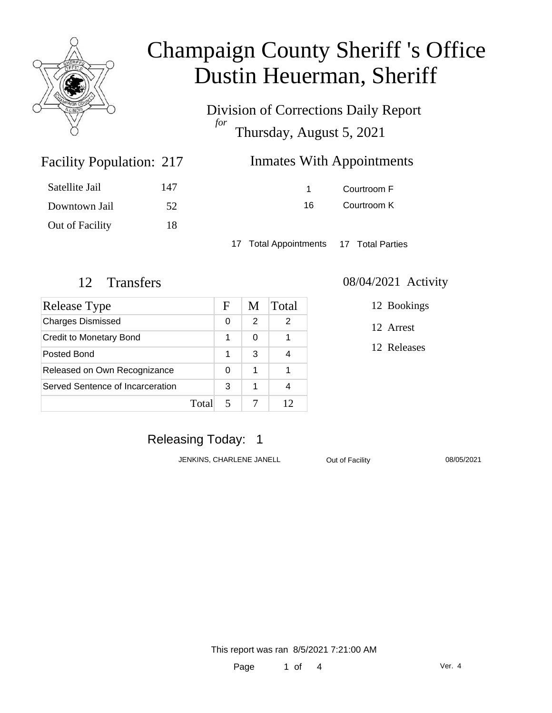

Division of Corrections Daily Report *for* Thursday, August 5, 2021

## **Inmates With Appointments**

| Satellite Jail  | 147 |
|-----------------|-----|
| Downtown Jail   | 52  |
| Out of Facility | 18  |

Facility Population: 217

1 Courtroom F 16 Courtroom K

17 Total Appointments 17 Total Parties

| Release Type                     |       | F | M | Total |
|----------------------------------|-------|---|---|-------|
| <b>Charges Dismissed</b>         |       | 0 | 2 | 2     |
| <b>Credit to Monetary Bond</b>   |       | 1 | 0 |       |
| Posted Bond                      |       | 1 | 3 |       |
| Released on Own Recognizance     |       | 0 | 1 |       |
| Served Sentence of Incarceration |       | 3 | 1 |       |
|                                  | Total |   |   | 12    |

### 12 Transfers 08/04/2021 Activity

12 Bookings

12 Arrest

12 Releases

### Releasing Today: 1

JENKINS, CHARLENE JANELL Out of Facility 08/05/2021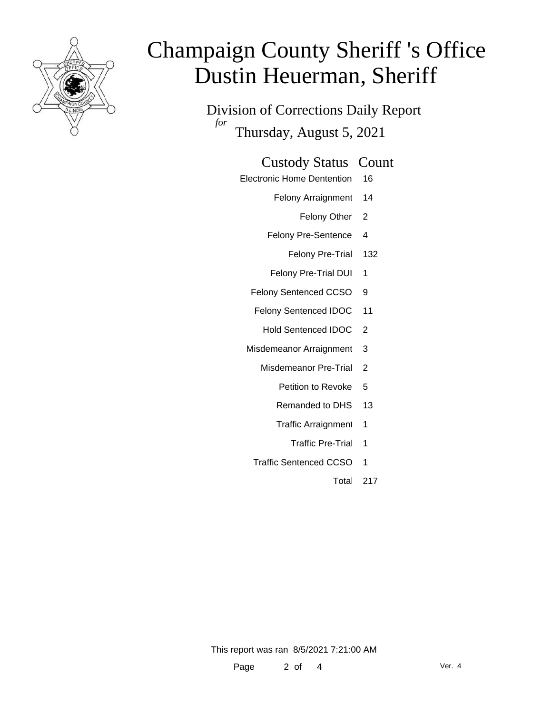

Division of Corrections Daily Report *for* Thursday, August 5, 2021

### Custody Status Count

- Electronic Home Dentention 16
	- Felony Arraignment 14
		- Felony Other 2
	- Felony Pre-Sentence 4
		- Felony Pre-Trial 132
	- Felony Pre-Trial DUI 1
	- Felony Sentenced CCSO 9
	- Felony Sentenced IDOC 11
		- Hold Sentenced IDOC 2
	- Misdemeanor Arraignment 3
		- Misdemeanor Pre-Trial 2
			- Petition to Revoke 5
			- Remanded to DHS 13
			- Traffic Arraignment 1
				- Traffic Pre-Trial 1
		- Traffic Sentenced CCSO 1
			- Total 217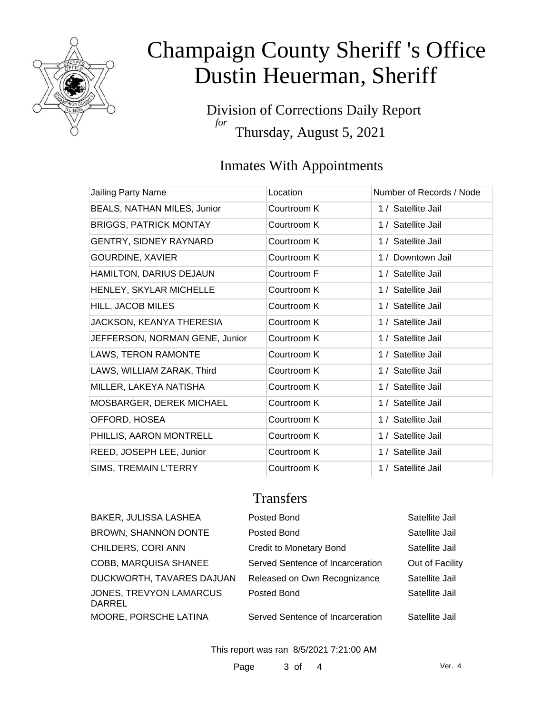

Division of Corrections Daily Report *for* Thursday, August 5, 2021

## Inmates With Appointments

| Jailing Party Name             | Location    | Number of Records / Node |
|--------------------------------|-------------|--------------------------|
| BEALS, NATHAN MILES, Junior    | Courtroom K | 1 / Satellite Jail       |
| <b>BRIGGS, PATRICK MONTAY</b>  | Courtroom K | 1 / Satellite Jail       |
| GENTRY, SIDNEY RAYNARD         | Courtroom K | 1 / Satellite Jail       |
| <b>GOURDINE, XAVIER</b>        | Courtroom K | 1 / Downtown Jail        |
| HAMILTON, DARIUS DEJAUN        | Courtroom F | 1 / Satellite Jail       |
| HENLEY, SKYLAR MICHELLE        | Courtroom K | 1 / Satellite Jail       |
| HILL, JACOB MILES              | Courtroom K | 1 / Satellite Jail       |
| JACKSON, KEANYA THERESIA       | Courtroom K | 1 / Satellite Jail       |
| JEFFERSON, NORMAN GENE, Junior | Courtroom K | 1 / Satellite Jail       |
| LAWS, TERON RAMONTE            | Courtroom K | 1 / Satellite Jail       |
| LAWS, WILLIAM ZARAK, Third     | Courtroom K | 1 / Satellite Jail       |
| MILLER, LAKEYA NATISHA         | Courtroom K | 1 / Satellite Jail       |
| MOSBARGER, DEREK MICHAEL       | Courtroom K | 1 / Satellite Jail       |
| OFFORD, HOSEA                  | Courtroom K | 1 / Satellite Jail       |
| PHILLIS, AARON MONTRELL        | Courtroom K | 1 / Satellite Jail       |
| REED, JOSEPH LEE, Junior       | Courtroom K | 1 / Satellite Jail       |
| SIMS, TREMAIN L'TERRY          | Courtroom K | 1 / Satellite Jail       |

### **Transfers**

| BAKER, JULISSA LASHEA             | Posted Bond                      | Satellite Jail  |
|-----------------------------------|----------------------------------|-----------------|
| <b>BROWN, SHANNON DONTE</b>       | Posted Bond                      | Satellite Jail  |
| CHILDERS, CORI ANN                | <b>Credit to Monetary Bond</b>   | Satellite Jail  |
| COBB, MARQUISA SHANEE             | Served Sentence of Incarceration | Out of Facility |
| DUCKWORTH, TAVARES DAJUAN         | Released on Own Recognizance     | Satellite Jail  |
| JONES, TREVYON LAMARCUS<br>DARREL | Posted Bond                      | Satellite Jail  |
| MOORE, PORSCHE LATINA             | Served Sentence of Incarceration | Satellite Jail  |